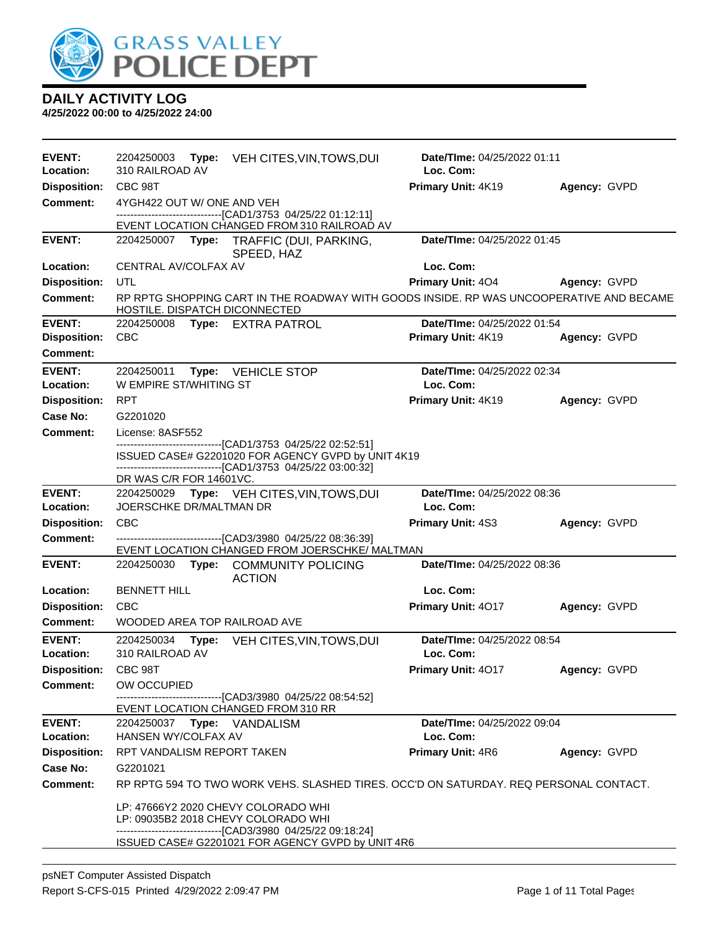

| <b>EVENT:</b><br>Location: | 2204250003<br>310 RAILROAD AV                                                                                      | Type: VEH CITES, VIN, TOWS, DUI                                                         | Date/TIme: 04/25/2022 01:11<br>Loc. Com: |              |  |
|----------------------------|--------------------------------------------------------------------------------------------------------------------|-----------------------------------------------------------------------------------------|------------------------------------------|--------------|--|
| <b>Disposition:</b>        | CBC 98T                                                                                                            |                                                                                         | Primary Unit: 4K19                       | Agency: GVPD |  |
| <b>Comment:</b>            | 4YGH422 OUT W/ ONE AND VEH                                                                                         |                                                                                         |                                          |              |  |
|                            |                                                                                                                    | -------------------------------[CAD1/3753 04/25/22 01:12:11]                            |                                          |              |  |
|                            |                                                                                                                    | EVENT LOCATION CHANGED FROM 310 RAILROAD AV                                             |                                          |              |  |
| <b>EVENT:</b>              |                                                                                                                    | 2204250007 Type: TRAFFIC (DUI, PARKING,<br>SPEED, HAZ                                   | Date/TIme: 04/25/2022 01:45              |              |  |
| Location:                  | CENTRAL AV/COLFAX AV                                                                                               |                                                                                         | Loc. Com:                                |              |  |
| <b>Disposition:</b>        | UTL                                                                                                                |                                                                                         | <b>Primary Unit: 404</b>                 | Agency: GVPD |  |
| <b>Comment:</b>            | HOSTILE. DISPATCH DICONNECTED                                                                                      | RP RPTG SHOPPING CART IN THE ROADWAY WITH GOODS INSIDE. RP WAS UNCOOPERATIVE AND BECAME |                                          |              |  |
| <b>EVENT:</b>              | 2204250008                                                                                                         | Type: EXTRA PATROL                                                                      | Date/TIme: 04/25/2022 01:54              |              |  |
| <b>Disposition:</b>        | CBC                                                                                                                |                                                                                         | Primary Unit: 4K19                       | Agency: GVPD |  |
| <b>Comment:</b>            |                                                                                                                    |                                                                                         |                                          |              |  |
| <b>EVENT:</b><br>Location: | 2204250011<br>W EMPIRE ST/WHITING ST                                                                               | Type: VEHICLE STOP                                                                      | Date/TIme: 04/25/2022 02:34<br>Loc. Com: |              |  |
| <b>Disposition:</b>        | RPT                                                                                                                |                                                                                         | Primary Unit: 4K19                       | Agency: GVPD |  |
| Case No:                   | G2201020                                                                                                           |                                                                                         |                                          |              |  |
| Comment:                   | License: 8ASF552                                                                                                   |                                                                                         |                                          |              |  |
|                            | -------------------------------[CAD1/3753 04/25/22 02:52:51]<br>ISSUED CASE# G2201020 FOR AGENCY GVPD by UNIT 4K19 |                                                                                         |                                          |              |  |
|                            |                                                                                                                    | -------------------------------[CAD1/3753 04/25/22 03:00:32]                            |                                          |              |  |
|                            | DR WAS C/R FOR 14601VC.                                                                                            |                                                                                         |                                          |              |  |
| <b>EVENT:</b><br>Location: | JOERSCHKE DR/MALTMAN DR                                                                                            | 2204250029 Type: VEH CITES, VIN, TOWS, DUI                                              | Date/TIme: 04/25/2022 08:36<br>Loc. Com: |              |  |
| <b>Disposition:</b>        | <b>CBC</b>                                                                                                         |                                                                                         | <b>Primary Unit: 4S3</b>                 | Agency: GVPD |  |
| Comment:                   |                                                                                                                    | --------------------------------[CAD3/3980 04/25/22 08:36:39]                           |                                          |              |  |
|                            |                                                                                                                    | EVENT LOCATION CHANGED FROM JOERSCHKE/ MALTMAN                                          |                                          |              |  |
| <b>EVENT:</b>              |                                                                                                                    | 2204250030 Type: COMMUNITY POLICING<br><b>ACTION</b>                                    | Date/TIme: 04/25/2022 08:36              |              |  |
| Location:                  | <b>BENNETT HILL</b>                                                                                                |                                                                                         | Loc. Com:                                |              |  |
| <b>Disposition:</b>        | CBC                                                                                                                |                                                                                         | Primary Unit: 4017                       | Agency: GVPD |  |
| Comment:                   | WOODED AREA TOP RAILROAD AVE                                                                                       |                                                                                         |                                          |              |  |
| <b>EVENT:</b>              | 2204250034<br>Type:                                                                                                | VEH CITES, VIN, TOWS, DUI                                                               | Date/TIme: 04/25/2022 08:54              |              |  |
| Location:                  | 310 RAILROAD AV                                                                                                    |                                                                                         | Loc. Com:                                |              |  |
| <b>Disposition:</b>        | CBC 98T                                                                                                            |                                                                                         | Primary Unit: 4017                       | Agency: GVPD |  |
| Comment:                   | OW OCCUPIED                                                                                                        | -----------[CAD3/3980_04/25/22_08:54:52]                                                |                                          |              |  |
|                            |                                                                                                                    | EVENT LOCATION CHANGED FROM 310 RR                                                      |                                          |              |  |
| <b>EVENT:</b>              |                                                                                                                    |                                                                                         | Date/TIme: 04/25/2022 09:04              |              |  |
| Location:                  | HANSEN WY/COLFAX AV                                                                                                |                                                                                         | Loc. Com:                                |              |  |
| <b>Disposition:</b>        | RPT VANDALISM REPORT TAKEN                                                                                         |                                                                                         | <b>Primary Unit: 4R6</b>                 | Agency: GVPD |  |
| <b>Case No:</b>            | G2201021                                                                                                           |                                                                                         |                                          |              |  |
| Comment:                   |                                                                                                                    | RP RPTG 594 TO TWO WORK VEHS. SLASHED TIRES. OCC'D ON SATURDAY. REQ PERSONAL CONTACT.   |                                          |              |  |
|                            | LP: 47666Y2 2020 CHEVY COLORADO WHI                                                                                |                                                                                         |                                          |              |  |
|                            | LP: 09035B2 2018 CHEVY COLORADO WHI                                                                                | -------------------------------[CAD3/3980 04/25/22 09:18:24]                            |                                          |              |  |
|                            |                                                                                                                    | ISSUED CASE# G2201021 FOR AGENCY GVPD by UNIT 4R6                                       |                                          |              |  |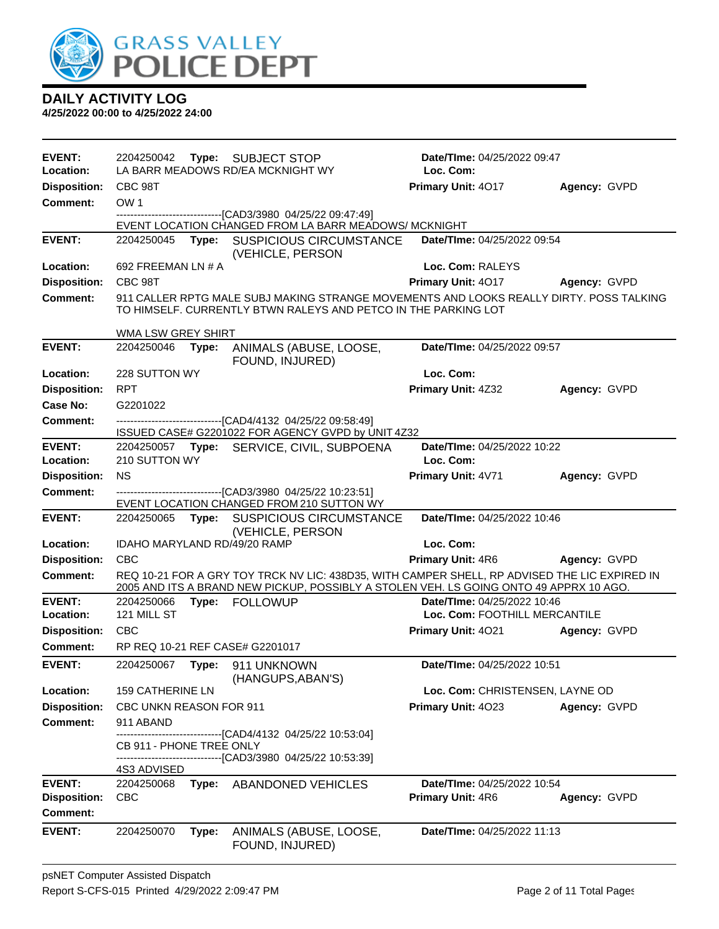

| <b>EVENT:</b><br>Location: | 2204250042                     |       | Type: SUBJECT STOP<br>LA BARR MEADOWS RD/EA MCKNIGHT WY                                                                                                                                 | Date/TIme: 04/25/2022 09:47<br>Loc. Com: |              |
|----------------------------|--------------------------------|-------|-----------------------------------------------------------------------------------------------------------------------------------------------------------------------------------------|------------------------------------------|--------------|
| <b>Disposition:</b>        | CBC 98T                        |       |                                                                                                                                                                                         | Primary Unit: 4017                       | Agency: GVPD |
| <b>Comment:</b>            | OW <sub>1</sub>                |       |                                                                                                                                                                                         |                                          |              |
|                            |                                |       | ---------------------------[CAD3/3980_04/25/22_09:47:49]<br>EVENT LOCATION CHANGED FROM LA BARR MEADOWS/ MCKNIGHT                                                                       |                                          |              |
| <b>EVENT:</b>              | 2204250045                     |       | Type: SUSPICIOUS CIRCUMSTANCE                                                                                                                                                           | Date/TIme: 04/25/2022 09:54              |              |
|                            |                                |       | (VEHICLE, PERSON                                                                                                                                                                        |                                          |              |
| Location:                  | 692 FREEMAN LN # A             |       |                                                                                                                                                                                         | Loc. Com: RALEYS                         |              |
| <b>Disposition:</b>        | CBC 98T                        |       |                                                                                                                                                                                         | Primary Unit: 4017                       | Agency: GVPD |
| <b>Comment:</b>            |                                |       | 911 CALLER RPTG MALE SUBJ MAKING STRANGE MOVEMENTS AND LOOKS REALLY DIRTY. POSS TALKING<br>TO HIMSELF, CURRENTLY BTWN RALEYS AND PETCO IN THE PARKING LOT                               |                                          |              |
|                            | WMA LSW GREY SHIRT             |       |                                                                                                                                                                                         |                                          |              |
| <b>EVENT:</b>              | 2204250046                     | Type: | ANIMALS (ABUSE, LOOSE,<br>FOUND, INJURED)                                                                                                                                               | Date/TIme: 04/25/2022 09:57              |              |
| Location:                  | 228 SUTTON WY                  |       |                                                                                                                                                                                         | Loc. Com:                                |              |
| <b>Disposition:</b>        | <b>RPT</b>                     |       |                                                                                                                                                                                         | Primary Unit: 4Z32                       | Agency: GVPD |
| <b>Case No:</b>            | G2201022                       |       |                                                                                                                                                                                         |                                          |              |
| <b>Comment:</b>            |                                |       | -------------------------------[CAD4/4132 04/25/22 09:58:49]<br>ISSUED CASE# G2201022 FOR AGENCY GVPD by UNIT 4Z32                                                                      |                                          |              |
| <b>EVENT:</b>              |                                |       | 2204250057 Type: SERVICE, CIVIL, SUBPOENA                                                                                                                                               | Date/TIme: 04/25/2022 10:22              |              |
| Location:                  | 210 SUTTON WY                  |       |                                                                                                                                                                                         | Loc. Com:                                |              |
| <b>Disposition:</b>        | <b>NS</b>                      |       |                                                                                                                                                                                         | Primary Unit: 4V71                       | Agency: GVPD |
| <b>Comment:</b>            |                                |       | -----------------------[CAD3/3980_04/25/22_10:23:51]<br>EVENT LOCATION CHANGED FROM 210 SUTTON WY                                                                                       |                                          |              |
| <b>EVENT:</b>              | 2204250065                     |       | Type: SUSPICIOUS CIRCUMSTANCE<br>(VEHICLE, PERSON                                                                                                                                       | Date/TIme: 04/25/2022 10:46              |              |
| Location:                  | IDAHO MARYLAND RD/49/20 RAMP   |       |                                                                                                                                                                                         | Loc. Com:                                |              |
| <b>Disposition:</b>        | <b>CBC</b>                     |       |                                                                                                                                                                                         | <b>Primary Unit: 4R6</b>                 | Agency: GVPD |
| <b>Comment:</b>            |                                |       | REQ 10-21 FOR A GRY TOY TRCK NV LIC: 438D35, WITH CAMPER SHELL, RP ADVISED THE LIC EXPIRED IN<br>2005 AND ITS A BRAND NEW PICKUP, POSSIBLY A STOLEN VEH. LS GOING ONTO 49 APPRX 10 AGO. |                                          |              |
| <b>EVENT:</b>              | 2204250066                     |       | Type: FOLLOWUP                                                                                                                                                                          | Date/TIme: 04/25/2022 10:46              |              |
| Location:                  | 121 MILL ST                    |       |                                                                                                                                                                                         | Loc. Com: FOOTHILL MERCANTILE            |              |
| <b>Disposition:</b>        | CBC                            |       |                                                                                                                                                                                         | Primary Unit: 4021                       | Agency: GVPD |
| <b>Comment:</b>            |                                |       | RP REQ 10-21 REF CASE# G2201017                                                                                                                                                         |                                          |              |
| <b>EVENT:</b>              | 2204250067                     |       | Type: 911 UNKNOWN<br>(HANGUPS, ABAN'S)                                                                                                                                                  | Date/TIme: 04/25/2022 10:51              |              |
| Location:                  | <b>159 CATHERINE LN</b>        |       |                                                                                                                                                                                         | Loc. Com: CHRISTENSEN, LAYNE OD          |              |
| <b>Disposition:</b>        | <b>CBC UNKN REASON FOR 911</b> |       |                                                                                                                                                                                         | <b>Primary Unit: 4023</b>                | Agency: GVPD |
| <b>Comment:</b>            | 911 ABAND                      |       |                                                                                                                                                                                         |                                          |              |
|                            | CB 911 - PHONE TREE ONLY       |       | ------------------[CAD4/4132 04/25/22 10:53:04]                                                                                                                                         |                                          |              |
|                            |                                |       | ------------------------------[CAD3/3980 04/25/22 10:53:39]                                                                                                                             |                                          |              |
|                            | 4S3 ADVISED                    |       |                                                                                                                                                                                         |                                          |              |
| <b>EVENT:</b>              | 2204250068                     | Type: | <b>ABANDONED VEHICLES</b>                                                                                                                                                               | Date/TIme: 04/25/2022 10:54              |              |
| <b>Disposition:</b>        | CBC                            |       |                                                                                                                                                                                         | <b>Primary Unit: 4R6</b>                 | Agency: GVPD |
| Comment:                   |                                |       |                                                                                                                                                                                         |                                          |              |
| <b>EVENT:</b>              | 2204250070                     | Type: | ANIMALS (ABUSE, LOOSE,<br>FOUND, INJURED)                                                                                                                                               | <b>Date/Time: 04/25/2022 11:13</b>       |              |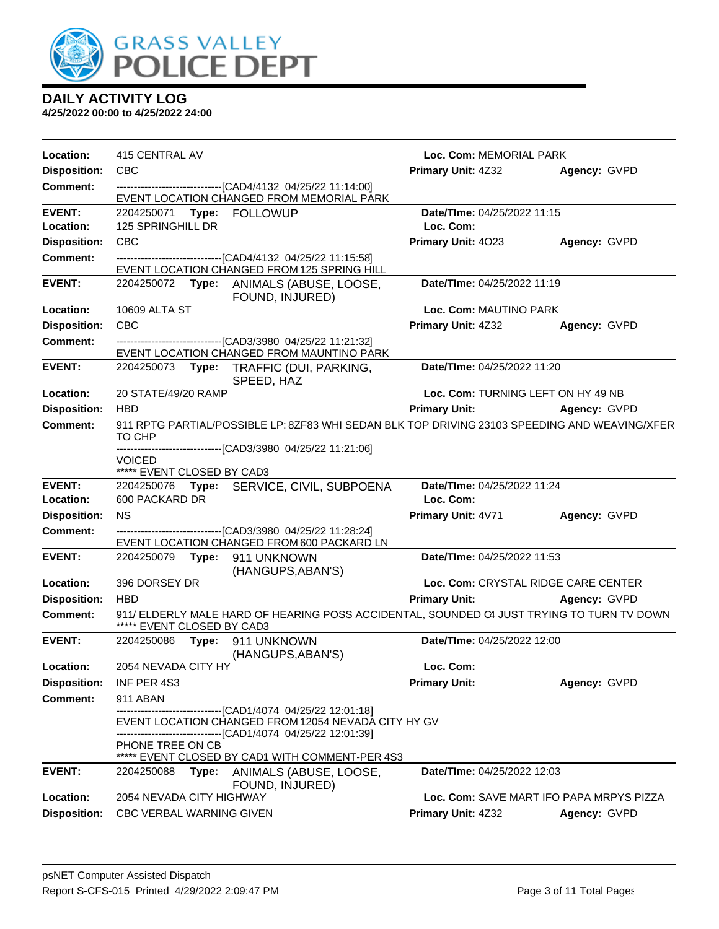

| Location:                  | 415 CENTRAL AV                                                                                                                                                |                                           | Loc. Com: MEMORIAL PARK                  |                     |
|----------------------------|---------------------------------------------------------------------------------------------------------------------------------------------------------------|-------------------------------------------|------------------------------------------|---------------------|
| <b>Disposition:</b>        | <b>CBC</b>                                                                                                                                                    |                                           | <b>Primary Unit: 4Z32</b>                | Agency: GVPD        |
| <b>Comment:</b>            | --------------------------------[CAD4/4132 04/25/22 11:14:00]                                                                                                 |                                           |                                          |                     |
|                            | EVENT LOCATION CHANGED FROM MEMORIAL PARK                                                                                                                     |                                           |                                          |                     |
| <b>EVENT:</b><br>Location: | 2204250071 Type: FOLLOWUP<br>125 SPRINGHILL DR                                                                                                                |                                           | Date/TIme: 04/25/2022 11:15<br>Loc. Com: |                     |
| <b>Disposition:</b>        | <b>CBC</b>                                                                                                                                                    |                                           | Primary Unit: 4023                       | Agency: GVPD        |
| <b>Comment:</b>            | --------------------------------[CAD4/4132 04/25/22 11:15:58]                                                                                                 |                                           |                                          |                     |
|                            | EVENT LOCATION CHANGED FROM 125 SPRING HILL                                                                                                                   |                                           |                                          |                     |
| <b>EVENT:</b>              | 2204250072 Type: ANIMALS (ABUSE, LOOSE,                                                                                                                       | FOUND, INJURED)                           | Date/TIme: 04/25/2022 11:19              |                     |
| Location:                  | 10609 ALTA ST                                                                                                                                                 |                                           | Loc. Com: MAUTINO PARK                   |                     |
| <b>Disposition:</b>        | <b>CBC</b>                                                                                                                                                    |                                           | <b>Primary Unit: 4Z32</b>                | Agency: GVPD        |
| <b>Comment:</b>            | -------------------------------[CAD3/3980 04/25/22 11:21:32]<br>EVENT LOCATION CHANGED FROM MAUNTINO PARK                                                     |                                           |                                          |                     |
| <b>EVENT:</b>              | 2204250073 Type: TRAFFIC (DUI, PARKING,<br>SPEED, HAZ                                                                                                         |                                           | Date/TIme: 04/25/2022 11:20              |                     |
| Location:                  | 20 STATE/49/20 RAMP                                                                                                                                           |                                           | Loc. Com: TURNING LEFT ON HY 49 NB       |                     |
| <b>Disposition:</b>        | <b>HBD</b>                                                                                                                                                    |                                           | <b>Primary Unit:</b>                     | <b>Agency: GVPD</b> |
| <b>Comment:</b>            | 911 RPTG PARTIAL/POSSIBLE LP: 8ZF83 WHI SEDAN BLK TOP DRIVING 23103 SPEEDING AND WEAVING/XFER<br>TO CHP                                                       |                                           |                                          |                     |
|                            | --------------------------------[CAD3/3980 04/25/22 11:21:06]<br><b>VOICED</b><br>***** EVENT CLOSED BY CAD3                                                  |                                           |                                          |                     |
| <b>EVENT:</b>              | 2204250076 Type: SERVICE, CIVIL, SUBPOENA                                                                                                                     |                                           | Date/TIme: 04/25/2022 11:24              |                     |
| Location:                  | 600 PACKARD DR                                                                                                                                                |                                           | Loc. Com:                                |                     |
| <b>Disposition:</b>        | <b>NS</b>                                                                                                                                                     |                                           | Primary Unit: 4V71                       | Agency: GVPD        |
| <b>Comment:</b>            | -------------------------------[CAD3/3980_04/25/22_11:28:24]<br>EVENT LOCATION CHANGED FROM 600 PACKARD LN                                                    |                                           |                                          |                     |
| <b>EVENT:</b>              |                                                                                                                                                               | (HANGUPS, ABAN'S)                         | Date/TIme: 04/25/2022 11:53              |                     |
| Location:                  | 396 DORSEY DR                                                                                                                                                 |                                           | Loc. Com: CRYSTAL RIDGE CARE CENTER      |                     |
| <b>Disposition:</b>        | <b>HBD</b>                                                                                                                                                    |                                           | <b>Primary Unit:</b>                     | Agency: GVPD        |
| <b>Comment:</b>            | 911/ ELDERLY MALE HARD OF HEARING POSS ACCIDENTAL, SOUNDED C4 JUST TRYING TO TURN TV DOWN<br>***** EVENT CLOSED BY CAD3                                       |                                           |                                          |                     |
| <b>EVENT:</b>              | 2204250086    Type: 911    UNKNOWN                                                                                                                            | (HANGUPS, ABAN'S)                         | Date/TIme: 04/25/2022 12:00              |                     |
| Location:                  | 2054 NEVADA CITY HY                                                                                                                                           |                                           | Loc. Com:                                |                     |
| <b>Disposition:</b>        | INF PER 4S3                                                                                                                                                   |                                           | <b>Primary Unit:</b>                     | Agency: GVPD        |
| <b>Comment:</b>            | 911 ABAN                                                                                                                                                      |                                           |                                          |                     |
|                            | ------------------------------[CAD1/4074_04/25/22 12:01:18]<br>EVENT LOCATION CHANGED FROM 12054 NEVADA CITY HY GV<br>----------[CAD1/4074 04/25/22 12:01:39] |                                           |                                          |                     |
|                            | PHONE TREE ON CB<br>EVENT CLOSED BY CAD1 WITH COMMENT-PER 4S3                                                                                                 |                                           |                                          |                     |
| <b>EVENT:</b>              | 2204250088<br>Type:                                                                                                                                           | ANIMALS (ABUSE, LOOSE,<br>FOUND, INJURED) | Date/TIme: 04/25/2022 12:03              |                     |
| Location:                  | 2054 NEVADA CITY HIGHWAY                                                                                                                                      |                                           | Loc. Com: SAVE MART IFO PAPA MRPYS PIZZA |                     |
| <b>Disposition:</b>        | CBC VERBAL WARNING GIVEN                                                                                                                                      |                                           | <b>Primary Unit: 4Z32</b>                | Agency: GVPD        |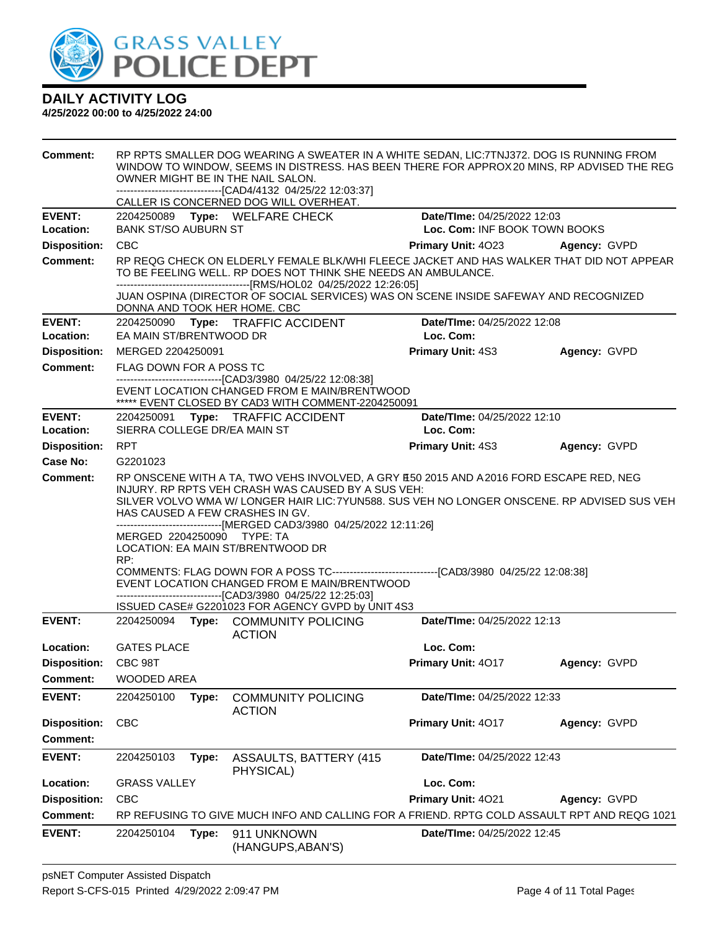

| Comment:            | RP RPTS SMALLER DOG WEARING A SWEATER IN A WHITE SEDAN, LIC:7TNJ372. DOG IS RUNNING FROM<br>WINDOW TO WINDOW, SEEMS IN DISTRESS. HAS BEEN THERE FOR APPROX 20 MINS, RP ADVISED THE REG<br>OWNER MIGHT BE IN THE NAIL SALON.<br>-------------------------------[CAD4/4132 04/25/22 12:03:37] |       |                                                                                                                                                                                                                                                                                                                                                           |                               |              |
|---------------------|---------------------------------------------------------------------------------------------------------------------------------------------------------------------------------------------------------------------------------------------------------------------------------------------|-------|-----------------------------------------------------------------------------------------------------------------------------------------------------------------------------------------------------------------------------------------------------------------------------------------------------------------------------------------------------------|-------------------------------|--------------|
|                     |                                                                                                                                                                                                                                                                                             |       | CALLER IS CONCERNED DOG WILL OVERHEAT.                                                                                                                                                                                                                                                                                                                    |                               |              |
| <b>EVENT:</b>       |                                                                                                                                                                                                                                                                                             |       | 2204250089 Type: WELFARE CHECK                                                                                                                                                                                                                                                                                                                            | Date/TIme: 04/25/2022 12:03   |              |
| Location:           | <b>BANK ST/SO AUBURN ST</b>                                                                                                                                                                                                                                                                 |       |                                                                                                                                                                                                                                                                                                                                                           | Loc. Com: INF BOOK TOWN BOOKS |              |
| <b>Disposition:</b> | <b>CBC</b>                                                                                                                                                                                                                                                                                  |       |                                                                                                                                                                                                                                                                                                                                                           | <b>Primary Unit: 4023</b>     | Agency: GVPD |
| <b>Comment:</b>     |                                                                                                                                                                                                                                                                                             |       | RP REQG CHECK ON ELDERLY FEMALE BLK/WHI FLEECE JACKET AND HAS WALKER THAT DID NOT APPEAR<br>TO BE FEELING WELL. RP DOES NOT THINK SHE NEEDS AN AMBULANCE.                                                                                                                                                                                                 |                               |              |
|                     | DONNA AND TOOK HER HOME. CBC                                                                                                                                                                                                                                                                |       | JUAN OSPINA (DIRECTOR OF SOCIAL SERVICES) WAS ON SCENE INSIDE SAFEWAY AND RECOGNIZED                                                                                                                                                                                                                                                                      |                               |              |
| <b>EVENT:</b>       |                                                                                                                                                                                                                                                                                             |       | 2204250090 Type: TRAFFIC ACCIDENT                                                                                                                                                                                                                                                                                                                         | Date/TIme: 04/25/2022 12:08   |              |
| Location:           | EA MAIN ST/BRENTWOOD DR                                                                                                                                                                                                                                                                     |       |                                                                                                                                                                                                                                                                                                                                                           | Loc. Com:                     |              |
| <b>Disposition:</b> | MERGED 2204250091                                                                                                                                                                                                                                                                           |       |                                                                                                                                                                                                                                                                                                                                                           | <b>Primary Unit: 4S3</b>      | Agency: GVPD |
| <b>Comment:</b>     | FLAG DOWN FOR A POSS TC                                                                                                                                                                                                                                                                     |       | --------------------------------[CAD3/3980 04/25/22 12:08:38]<br>EVENT LOCATION CHANGED FROM E MAIN/BRENTWOOD                                                                                                                                                                                                                                             |                               |              |
| <b>EVENT:</b>       |                                                                                                                                                                                                                                                                                             |       | ***** EVENT CLOSED BY CAD3 WITH COMMENT-2204250091                                                                                                                                                                                                                                                                                                        | Date/TIme: 04/25/2022 12:10   |              |
| Location:           | SIERRA COLLEGE DR/EA MAIN ST                                                                                                                                                                                                                                                                |       | 2204250091 Type: TRAFFIC ACCIDENT                                                                                                                                                                                                                                                                                                                         | Loc. Com:                     |              |
| <b>Disposition:</b> | <b>RPT</b>                                                                                                                                                                                                                                                                                  |       |                                                                                                                                                                                                                                                                                                                                                           | <b>Primary Unit: 4S3</b>      | Agency: GVPD |
| Case No:            | G2201023                                                                                                                                                                                                                                                                                    |       |                                                                                                                                                                                                                                                                                                                                                           |                               |              |
| Comment:            | HAS CAUSED A FEW CRASHES IN GV.<br>MERGED 2204250090 TYPE: TA<br>RP:                                                                                                                                                                                                                        |       | RP ONSCENE WITH A TA, TWO VEHS INVOLVED, A GRY F50 2015 AND A 2016 FORD ESCAPE RED, NEG<br>INJURY. RP RPTS VEH CRASH WAS CAUSED BY A SUS VEH:<br>SILVER VOLVO WMA W/ LONGER HAIR LIC: 7YUN588. SUS VEH NO LONGER ONSCENE. RP ADVISED SUS VEH<br>------------------------------[MERGED CAD3/3980 04/25/2022 12:11:26]<br>LOCATION: EA MAIN ST/BRENTWOOD DR |                               |              |
|                     |                                                                                                                                                                                                                                                                                             |       | COMMENTS: FLAG DOWN FOR A POSS TC----------------------------------[CAD3/3980 04/25/22 12:08:38]<br>EVENT LOCATION CHANGED FROM E MAIN/BRENTWOOD<br>-------------------------------[CAD3/3980 04/25/22 12:25:03]<br>ISSUED CASE# G2201023 FOR AGENCY GVPD by UNIT 4S3                                                                                     |                               |              |
| <b>EVENT:</b>       |                                                                                                                                                                                                                                                                                             |       | 2204250094 Type: COMMUNITY POLICING<br><b>ACTION</b>                                                                                                                                                                                                                                                                                                      | Date/TIme: 04/25/2022 12:13   |              |
| Location:           | <b>GATES PLACE</b>                                                                                                                                                                                                                                                                          |       |                                                                                                                                                                                                                                                                                                                                                           | Loc. Com:                     |              |
| <b>Disposition:</b> | CBC 98T                                                                                                                                                                                                                                                                                     |       |                                                                                                                                                                                                                                                                                                                                                           | Primary Unit: 4017            | Agency: GVPD |
| <b>Comment:</b>     | <b>WOODED AREA</b>                                                                                                                                                                                                                                                                          |       |                                                                                                                                                                                                                                                                                                                                                           |                               |              |
| <b>EVENT:</b>       | 2204250100                                                                                                                                                                                                                                                                                  | Type: | <b>COMMUNITY POLICING</b><br><b>ACTION</b>                                                                                                                                                                                                                                                                                                                | Date/TIme: 04/25/2022 12:33   |              |
| <b>Disposition:</b> | <b>CBC</b>                                                                                                                                                                                                                                                                                  |       |                                                                                                                                                                                                                                                                                                                                                           | Primary Unit: 4017            | Agency: GVPD |
| <b>Comment:</b>     |                                                                                                                                                                                                                                                                                             |       |                                                                                                                                                                                                                                                                                                                                                           |                               |              |
| <b>EVENT:</b>       | 2204250103                                                                                                                                                                                                                                                                                  | Type: | <b>ASSAULTS, BATTERY (415)</b><br>PHYSICAL)                                                                                                                                                                                                                                                                                                               | Date/TIme: 04/25/2022 12:43   |              |
| Location:           | <b>GRASS VALLEY</b>                                                                                                                                                                                                                                                                         |       |                                                                                                                                                                                                                                                                                                                                                           | Loc. Com:                     |              |
| <b>Disposition:</b> | <b>CBC</b>                                                                                                                                                                                                                                                                                  |       |                                                                                                                                                                                                                                                                                                                                                           | Primary Unit: 4021            | Agency: GVPD |
| <b>Comment:</b>     |                                                                                                                                                                                                                                                                                             |       | RP REFUSING TO GIVE MUCH INFO AND CALLING FOR A FRIEND. RPTG COLD ASSAULT RPT AND REQG 1021                                                                                                                                                                                                                                                               |                               |              |
| <b>EVENT:</b>       | 2204250104                                                                                                                                                                                                                                                                                  | Type: | 911 UNKNOWN<br>(HANGUPS, ABAN'S)                                                                                                                                                                                                                                                                                                                          | Date/TIme: 04/25/2022 12:45   |              |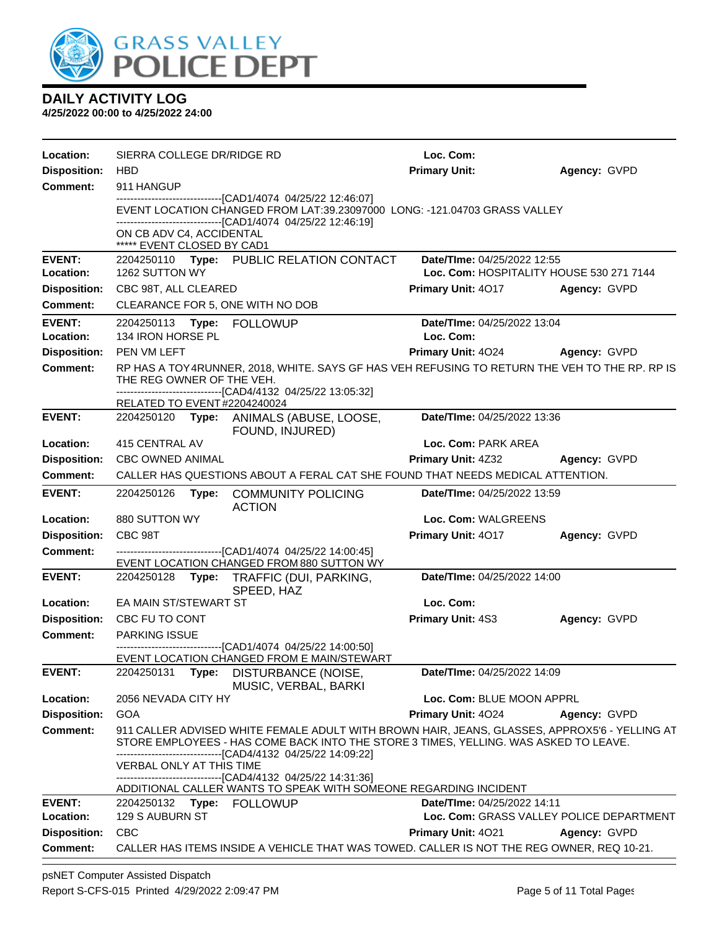

**4/25/2022 00:00 to 4/25/2022 24:00**

| Location:                  | SIERRA COLLEGE DR/RIDGE RD                             |                                                                                                                                                                                                                                                       | Loc. Com:                                |              |
|----------------------------|--------------------------------------------------------|-------------------------------------------------------------------------------------------------------------------------------------------------------------------------------------------------------------------------------------------------------|------------------------------------------|--------------|
| <b>Disposition:</b>        | <b>HBD</b>                                             |                                                                                                                                                                                                                                                       | <b>Primary Unit:</b>                     | Agency: GVPD |
| <b>Comment:</b>            | 911 HANGUP                                             |                                                                                                                                                                                                                                                       |                                          |              |
|                            |                                                        | -------------------------------[CAD1/4074 04/25/22 12:46:07]<br>EVENT LOCATION CHANGED FROM LAT:39.23097000 LONG: -121.04703 GRASS VALLEY<br>-------------------------------[CAD1/4074_04/25/22 12:46:19]                                             |                                          |              |
|                            | ON CB ADV C4, ACCIDENTAL<br>***** EVENT CLOSED BY CAD1 |                                                                                                                                                                                                                                                       |                                          |              |
| <b>EVENT:</b>              |                                                        | 2204250110 Type: PUBLIC RELATION CONTACT                                                                                                                                                                                                              | Date/TIme: 04/25/2022 12:55              |              |
| Location:                  | 1262 SUTTON WY                                         |                                                                                                                                                                                                                                                       | Loc. Com: HOSPITALITY HOUSE 530 271 7144 |              |
| <b>Disposition:</b>        | CBC 98T, ALL CLEARED                                   |                                                                                                                                                                                                                                                       | <b>Primary Unit: 4017</b>                | Agency: GVPD |
| <b>Comment:</b>            | CLEARANCE FOR 5, ONE WITH NO DOB                       |                                                                                                                                                                                                                                                       |                                          |              |
| <b>EVENT:</b><br>Location: | 2204250113 Type: FOLLOWUP<br>134 IRON HORSE PL         |                                                                                                                                                                                                                                                       | Date/TIme: 04/25/2022 13:04<br>Loc. Com: |              |
| <b>Disposition:</b>        | PEN VM LEFT                                            |                                                                                                                                                                                                                                                       | Primary Unit: 4024 Agency: GVPD          |              |
| <b>Comment:</b>            | THE REG OWNER OF THE VEH.                              | RP HAS A TOY4RUNNER, 2018, WHITE. SAYS GF HAS VEH REFUSING TO RETURN THE VEH TO THE RP. RP IS<br>---------------------------[CAD4/4132_04/25/22 13:05:32]                                                                                             |                                          |              |
|                            | RELATED TO EVENT#2204240024                            |                                                                                                                                                                                                                                                       |                                          |              |
| <b>EVENT:</b>              |                                                        | 2204250120 Type: ANIMALS (ABUSE, LOOSE,<br>FOUND, INJURED)                                                                                                                                                                                            | Date/TIme: 04/25/2022 13:36              |              |
| Location:                  | 415 CENTRAL AV                                         |                                                                                                                                                                                                                                                       | Loc. Com: PARK AREA                      |              |
| <b>Disposition:</b>        | <b>CBC OWNED ANIMAL</b>                                |                                                                                                                                                                                                                                                       | Primary Unit: 4Z32                       | Agency: GVPD |
| Comment:                   |                                                        | CALLER HAS QUESTIONS ABOUT A FERAL CAT SHE FOUND THAT NEEDS MEDICAL ATTENTION.                                                                                                                                                                        |                                          |              |
| <b>EVENT:</b>              | 2204250126                                             | Type: COMMUNITY POLICING<br><b>ACTION</b>                                                                                                                                                                                                             | Date/TIme: 04/25/2022 13:59              |              |
| Location:                  | 880 SUTTON WY                                          |                                                                                                                                                                                                                                                       | Loc. Com: WALGREENS                      |              |
| <b>Disposition:</b>        | CBC 98T                                                |                                                                                                                                                                                                                                                       | Primary Unit: 4017                       | Agency: GVPD |
| <b>Comment:</b>            |                                                        | --------------------------------[CAD1/4074 04/25/22 14:00:45]<br>EVENT LOCATION CHANGED FROM 880 SUTTON WY                                                                                                                                            |                                          |              |
| <b>EVENT:</b>              |                                                        | 2204250128 Type: TRAFFIC (DUI, PARKING,<br>SPEED, HAZ                                                                                                                                                                                                 | Date/TIme: 04/25/2022 14:00              |              |
| Location:                  | EA MAIN ST/STEWART ST                                  |                                                                                                                                                                                                                                                       | Loc. Com:                                |              |
| <b>Disposition:</b>        | CBC FU TO CONT                                         |                                                                                                                                                                                                                                                       | Primary Unit: 4S3                        | Agency: GVPD |
| Comment:                   | <b>PARKING ISSUE</b>                                   |                                                                                                                                                                                                                                                       |                                          |              |
|                            |                                                        | ------------------------------[CAD1/4074 04/25/22 14:00:50]<br>EVENT LOCATION CHANGED FROM E MAIN/STEWART                                                                                                                                             |                                          |              |
| <b>EVENT:</b>              |                                                        | 2204250131 Type: DISTURBANCE (NOISE,<br>MUSIC, VERBAL, BARKI                                                                                                                                                                                          | Date/TIme: 04/25/2022 14:09              |              |
| Location:                  | 2056 NEVADA CITY HY                                    |                                                                                                                                                                                                                                                       | Loc. Com: BLUE MOON APPRL                |              |
| <b>Disposition:</b>        | <b>GOA</b>                                             |                                                                                                                                                                                                                                                       | Primary Unit: 4024                       | Agency: GVPD |
| <b>Comment:</b>            |                                                        | 911 CALLER ADVISED WHITE FEMALE ADULT WITH BROWN HAIR, JEANS, GLASSES, APPROX5'6 - YELLING AT<br>STORE EMPLOYEES - HAS COME BACK INTO THE STORE 3 TIMES, YELLING. WAS ASKED TO LEAVE.<br>-------------------------------[CAD4/4132 04/25/22 14:09:22] |                                          |              |
|                            | VERBAL ONLY AT THIS TIME                               | --------------------------------[CAD4/4132 04/25/22 14:31:36]<br>ADDITIONAL CALLER WANTS TO SPEAK WITH SOMEONE REGARDING INCIDENT                                                                                                                     |                                          |              |
| <b>EVENT:</b>              | 2204250132 Type: FOLLOWUP                              |                                                                                                                                                                                                                                                       | <b>Date/Time: 04/25/2022 14:11</b>       |              |
| Location:                  | 129 S AUBURN ST                                        |                                                                                                                                                                                                                                                       | Loc. Com: GRASS VALLEY POLICE DEPARTMENT |              |
| <b>Disposition:</b>        | <b>CBC</b>                                             |                                                                                                                                                                                                                                                       | Primary Unit: 4021                       | Agency: GVPD |
| <b>Comment:</b>            |                                                        | CALLER HAS ITEMS INSIDE A VEHICLE THAT WAS TOWED. CALLER IS NOT THE REG OWNER, REQ 10-21.                                                                                                                                                             |                                          |              |

psNET Computer Assisted Dispatch Report S-CFS-015 Printed 4/29/2022 2:09:47 PM Page 5 of 11 Total Pages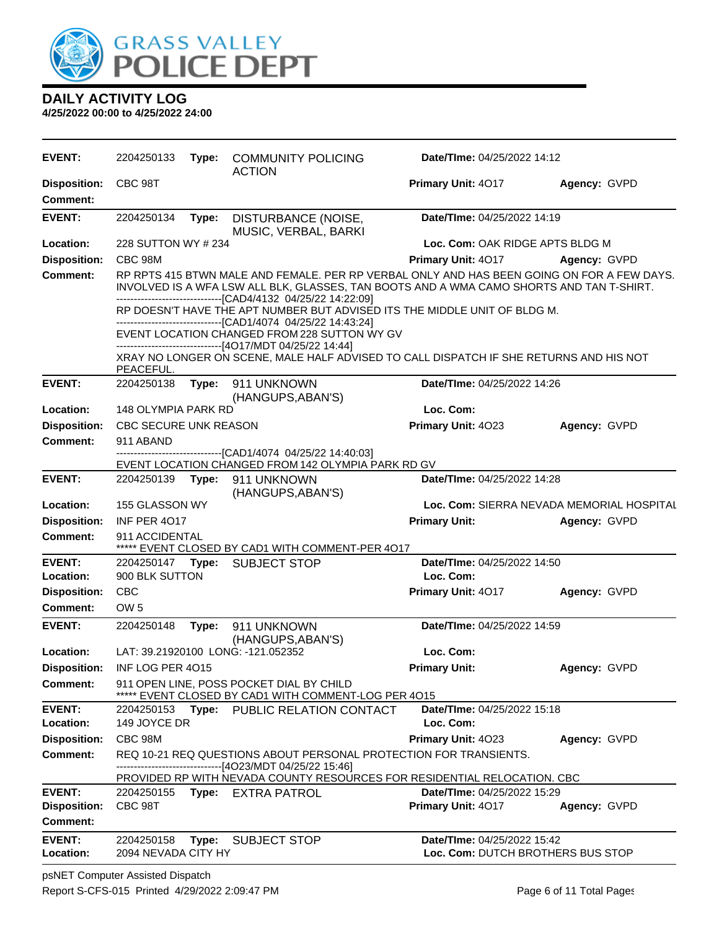

**4/25/2022 00:00 to 4/25/2022 24:00**

| EVENT:                                 | 2204250133                   | Type: | <b>COMMUNITY POLICING</b><br><b>ACTION</b>                                                                 | <b>Date/Time: 04/25/2022 14:12</b>                                                                                                                                                     |                                           |
|----------------------------------------|------------------------------|-------|------------------------------------------------------------------------------------------------------------|----------------------------------------------------------------------------------------------------------------------------------------------------------------------------------------|-------------------------------------------|
| <b>Disposition:</b><br><b>Comment:</b> | CBC 98T                      |       |                                                                                                            | Primary Unit: 4017                                                                                                                                                                     | Agency: GVPD                              |
| <b>EVENT:</b>                          | 2204250134                   | Type: | DISTURBANCE (NOISE,<br>MUSIC, VERBAL, BARKI                                                                | Date/TIme: 04/25/2022 14:19                                                                                                                                                            |                                           |
| Location:                              | 228 SUTTON WY # 234          |       |                                                                                                            | Loc. Com: OAK RIDGE APTS BLDG M                                                                                                                                                        |                                           |
| <b>Disposition:</b>                    | CBC 98M                      |       |                                                                                                            | Primary Unit: 4017                                                                                                                                                                     | Agency: GVPD                              |
| <b>Comment:</b>                        |                              |       | --------------------------------[CAD4/4132 04/25/22 14:22:09]                                              | RP RPTS 415 BTWN MALE AND FEMALE. PER RP VERBAL ONLY AND HAS BEEN GOING ON FOR A FEW DAYS.<br>INVOLVED IS A WFA LSW ALL BLK, GLASSES, TAN BOOTS AND A WMA CAMO SHORTS AND TAN T-SHIRT. |                                           |
|                                        |                              |       | -----------------[CAD1/4074_04/25/22 14:43:24]                                                             | RP DOESN'T HAVE THE APT NUMBER BUT ADVISED ITS THE MIDDLE UNIT OF BLDG M.                                                                                                              |                                           |
|                                        |                              |       | EVENT LOCATION CHANGED FROM 228 SUTTON WY GV<br>------------------------------[4O17/MDT 04/25/22 14:44]    |                                                                                                                                                                                        |                                           |
|                                        | PEACEFUL.                    |       |                                                                                                            | XRAY NO LONGER ON SCENE, MALE HALF ADVISED TO CALL DISPATCH IF SHE RETURNS AND HIS NOT                                                                                                 |                                           |
| <b>EVENT:</b>                          | 2204250138                   | Type: | 911 UNKNOWN<br>(HANGUPS, ABAN'S)                                                                           | Date/TIme: 04/25/2022 14:26                                                                                                                                                            |                                           |
| Location:                              | 148 OLYMPIA PARK RD          |       |                                                                                                            | Loc. Com:                                                                                                                                                                              |                                           |
| <b>Disposition:</b>                    | <b>CBC SECURE UNK REASON</b> |       |                                                                                                            | Primary Unit: 4023                                                                                                                                                                     | Agency: GVPD                              |
| <b>Comment:</b>                        | 911 ABAND                    |       |                                                                                                            |                                                                                                                                                                                        |                                           |
|                                        |                              |       | -----------------------[CAD1/4074_04/25/22_14:40:03]<br>EVENT LOCATION CHANGED FROM 142 OLYMPIA PARK RD GV |                                                                                                                                                                                        |                                           |
| <b>EVENT:</b>                          | 2204250139 Type:             |       | 911 UNKNOWN<br>(HANGUPS, ABAN'S)                                                                           | Date/TIme: 04/25/2022 14:28                                                                                                                                                            |                                           |
| Location:                              | 155 GLASSON WY               |       |                                                                                                            |                                                                                                                                                                                        | Loc. Com: SIERRA NEVADA MEMORIAL HOSPITAL |
| <b>Disposition:</b>                    | <b>INF PER 4017</b>          |       |                                                                                                            | <b>Primary Unit:</b>                                                                                                                                                                   | Agency: GVPD                              |
| <b>Comment:</b>                        | 911 ACCIDENTAL               |       | ***** EVENT CLOSED BY CAD1 WITH COMMENT-PER 4O17                                                           |                                                                                                                                                                                        |                                           |
| <b>EVENT:</b>                          | 2204250147                   | Type: | <b>SUBJECT STOP</b>                                                                                        | Date/TIme: 04/25/2022 14:50                                                                                                                                                            |                                           |
| Location:                              | 900 BLK SUTTON               |       |                                                                                                            | Loc. Com:                                                                                                                                                                              |                                           |
| <b>Disposition:</b>                    | <b>CBC</b>                   |       |                                                                                                            | Primary Unit: 4017                                                                                                                                                                     | Agency: GVPD                              |
| Comment:                               | OW <sub>5</sub>              |       |                                                                                                            |                                                                                                                                                                                        |                                           |
| <b>EVENT:</b>                          | 2204250148                   | Type: | 911 UNKNOWN<br>(HANGUPS, ABAN'S)                                                                           | Date/TIme: 04/25/2022 14:59                                                                                                                                                            |                                           |
| Location:                              |                              |       | LAT: 39.21920100 LONG: -121.052352                                                                         | Loc. Com:                                                                                                                                                                              |                                           |
| <b>Disposition:</b>                    | INF LOG PER 4015             |       |                                                                                                            | <b>Primary Unit:</b>                                                                                                                                                                   | Agency: GVPD                              |
| <b>Comment:</b>                        |                              |       | 911 OPEN LINE, POSS POCKET DIAL BY CHILD<br>EVENT CLOSED BY CAD1 WITH COMMENT-LOG PER 4015                 |                                                                                                                                                                                        |                                           |
| EVENT:<br>Location:                    | 149 JOYCE DR                 |       | 2204250153 Type: PUBLIC RELATION CONTACT                                                                   | Date/TIme: 04/25/2022 15:18<br>Loc. Com:                                                                                                                                               |                                           |
| <b>Disposition:</b>                    | CBC 98M                      |       |                                                                                                            | Primary Unit: 4023                                                                                                                                                                     | Agency: GVPD                              |
| <b>Comment:</b>                        |                              |       | -------------------------------[4O23/MDT 04/25/22 15:46]                                                   | REQ 10-21 REQ QUESTIONS ABOUT PERSONAL PROTECTION FOR TRANSIENTS.                                                                                                                      |                                           |
|                                        |                              |       |                                                                                                            | PROVIDED RP WITH NEVADA COUNTY RESOURCES FOR RESIDENTIAL RELOCATION. CBC                                                                                                               |                                           |
| <b>EVENT:</b>                          | 2204250155                   |       | Type: EXTRA PATROL                                                                                         | Date/TIme: 04/25/2022 15:29                                                                                                                                                            |                                           |
| <b>Disposition:</b><br><b>Comment:</b> | CBC 98T                      |       |                                                                                                            | Primary Unit: 4017                                                                                                                                                                     | Agency: GVPD                              |
| <b>EVENT:</b>                          | 2204250158                   | Type: | <b>SUBJECT STOP</b>                                                                                        | Date/TIme: 04/25/2022 15:42                                                                                                                                                            |                                           |
| Location:                              | 2094 NEVADA CITY HY          |       |                                                                                                            | Loc. Com: DUTCH BROTHERS BUS STOP                                                                                                                                                      |                                           |

psNET Computer Assisted Dispatch Report S-CFS-015 Printed 4/29/2022 2:09:47 PM Page 6 of 11 Total Pages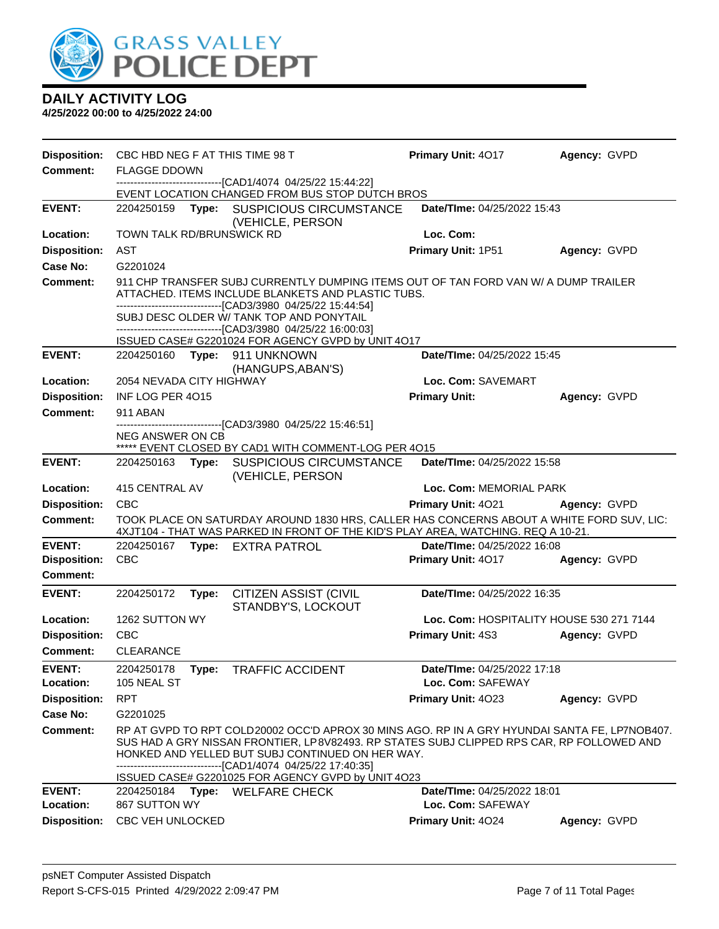

| <b>Disposition:</b>         | CBC HBD NEG F AT THIS TIME 98 T                                                                                                                                                                                                                                                                                                                                                  | Primary Unit: 4017                       | Agency: GVPD |
|-----------------------------|----------------------------------------------------------------------------------------------------------------------------------------------------------------------------------------------------------------------------------------------------------------------------------------------------------------------------------------------------------------------------------|------------------------------------------|--------------|
| <b>Comment:</b>             | <b>FLAGGE DDOWN</b><br>------------------------------[CAD1/4074_04/25/22 15:44:22]                                                                                                                                                                                                                                                                                               |                                          |              |
|                             | EVENT LOCATION CHANGED FROM BUS STOP DUTCH BROS                                                                                                                                                                                                                                                                                                                                  |                                          |              |
| <b>EVENT:</b>               | 2204250159<br>Type: SUSPICIOUS CIRCUMSTANCE<br>(VEHICLE, PERSON                                                                                                                                                                                                                                                                                                                  | Date/TIme: 04/25/2022 15:43              |              |
| Location:                   | TOWN TALK RD/BRUNSWICK RD                                                                                                                                                                                                                                                                                                                                                        | Loc. Com:                                |              |
| <b>Disposition:</b>         | AST                                                                                                                                                                                                                                                                                                                                                                              | Primary Unit: 1P51                       | Agency: GVPD |
| Case No:                    | G2201024                                                                                                                                                                                                                                                                                                                                                                         |                                          |              |
| <b>Comment:</b>             | 911 CHP TRANSFER SUBJ CURRENTLY DUMPING ITEMS OUT OF TAN FORD VAN W/ A DUMP TRAILER<br>ATTACHED. ITEMS INCLUDE BLANKETS AND PLASTIC TUBS.<br>-------------------------------[CAD3/3980 04/25/22 15:44:54]<br>SUBJ DESC OLDER W/ TANK TOP AND PONYTAIL<br>--------------------------------[CAD3/3980 04/25/22 16:00:03]                                                           |                                          |              |
|                             | ISSUED CASE# G2201024 FOR AGENCY GVPD by UNIT 4O17                                                                                                                                                                                                                                                                                                                               |                                          |              |
| <b>EVENT:</b>               | 2204250160 Type: 911 UNKNOWN                                                                                                                                                                                                                                                                                                                                                     | Date/TIme: 04/25/2022 15:45              |              |
| Location:                   | (HANGUPS, ABAN'S)<br>2054 NEVADA CITY HIGHWAY                                                                                                                                                                                                                                                                                                                                    | Loc. Com: SAVEMART                       |              |
| <b>Disposition:</b>         | INF LOG PER 4015                                                                                                                                                                                                                                                                                                                                                                 | <b>Primary Unit:</b>                     | Agency: GVPD |
| <b>Comment:</b>             | 911 ABAN                                                                                                                                                                                                                                                                                                                                                                         |                                          |              |
|                             | -------------------------[CAD3/3980 04/25/22 15:46:51]<br><b>NEG ANSWER ON CB</b><br>***** EVENT CLOSED BY CAD1 WITH COMMENT-LOG PER 4015                                                                                                                                                                                                                                        |                                          |              |
| <b>EVENT:</b>               | <b>SUSPICIOUS CIRCUMSTANCE</b><br>2204250163<br>Type:<br>(VEHICLE, PERSON                                                                                                                                                                                                                                                                                                        | Date/TIme: 04/25/2022 15:58              |              |
| Location:                   | 415 CENTRAL AV                                                                                                                                                                                                                                                                                                                                                                   | Loc. Com: MEMORIAL PARK                  |              |
| <b>Disposition:</b>         | <b>CBC</b>                                                                                                                                                                                                                                                                                                                                                                       | <b>Primary Unit: 4021</b>                | Agency: GVPD |
| <b>Comment:</b>             | TOOK PLACE ON SATURDAY AROUND 1830 HRS, CALLER HAS CONCERNS ABOUT A WHITE FORD SUV, LIC:<br>4XJT104 - THAT WAS PARKED IN FRONT OF THE KID'S PLAY AREA, WATCHING. REQ A 10-21.                                                                                                                                                                                                    |                                          |              |
| <b>EVENT:</b>               | 2204250167<br>Type: EXTRA PATROL                                                                                                                                                                                                                                                                                                                                                 | Date/TIme: 04/25/2022 16:08              |              |
| <b>Disposition:</b>         | <b>CBC</b>                                                                                                                                                                                                                                                                                                                                                                       | Primary Unit: 4017                       | Agency: GVPD |
| Comment:                    |                                                                                                                                                                                                                                                                                                                                                                                  |                                          |              |
| <b>EVENT:</b>               | 2204250172<br><b>CITIZEN ASSIST (CIVIL</b><br>Type:<br>STANDBY'S, LOCKOUT                                                                                                                                                                                                                                                                                                        | Date/TIme: 04/25/2022 16:35              |              |
| Location:                   | 1262 SUTTON WY                                                                                                                                                                                                                                                                                                                                                                   | Loc. Com: HOSPITALITY HOUSE 530 271 7144 |              |
| <b>Disposition:</b>         | <b>CBC</b>                                                                                                                                                                                                                                                                                                                                                                       | <b>Primary Unit: 4S3</b>                 | Agency: GVPD |
| <b>Comment:</b>             | <b>CLEARANCE</b>                                                                                                                                                                                                                                                                                                                                                                 |                                          |              |
| <b>EVENT:</b>               | 2204250178 Type: TRAFFIC ACCIDENT                                                                                                                                                                                                                                                                                                                                                | Date/TIme: 04/25/2022 17:18              |              |
| Location:                   | 105 NEAL ST                                                                                                                                                                                                                                                                                                                                                                      | Loc. Com: SAFEWAY                        |              |
| <b>Disposition:</b>         | <b>RPT</b>                                                                                                                                                                                                                                                                                                                                                                       | Primary Unit: 4023                       | Agency: GVPD |
| Case No:<br><b>Comment:</b> | G2201025<br>RP AT GVPD TO RPT COLD20002 OCC'D APROX 30 MINS AGO. RP IN A GRY HYUNDAI SANTA FE. LP7NOB407.<br>SUS HAD A GRY NISSAN FRONTIER, LP8V82493. RP STATES SUBJ CLIPPED RPS CAR, RP FOLLOWED AND<br>HONKED AND YELLED BUT SUBJ CONTINUED ON HER WAY.<br>-------------------------------[CAD1/4074 04/25/22 17:40:35]<br>ISSUED CASE# G2201025 FOR AGENCY GVPD by UNIT 4023 |                                          |              |
| <b>EVENT:</b>               | 2204250184<br>Type: WELFARE CHECK                                                                                                                                                                                                                                                                                                                                                | Date/TIme: 04/25/2022 18:01              |              |
| Location:                   | 867 SUTTON WY                                                                                                                                                                                                                                                                                                                                                                    | Loc. Com: SAFEWAY                        |              |
| <b>Disposition:</b>         | CBC VEH UNLOCKED                                                                                                                                                                                                                                                                                                                                                                 | Primary Unit: 4024                       | Agency: GVPD |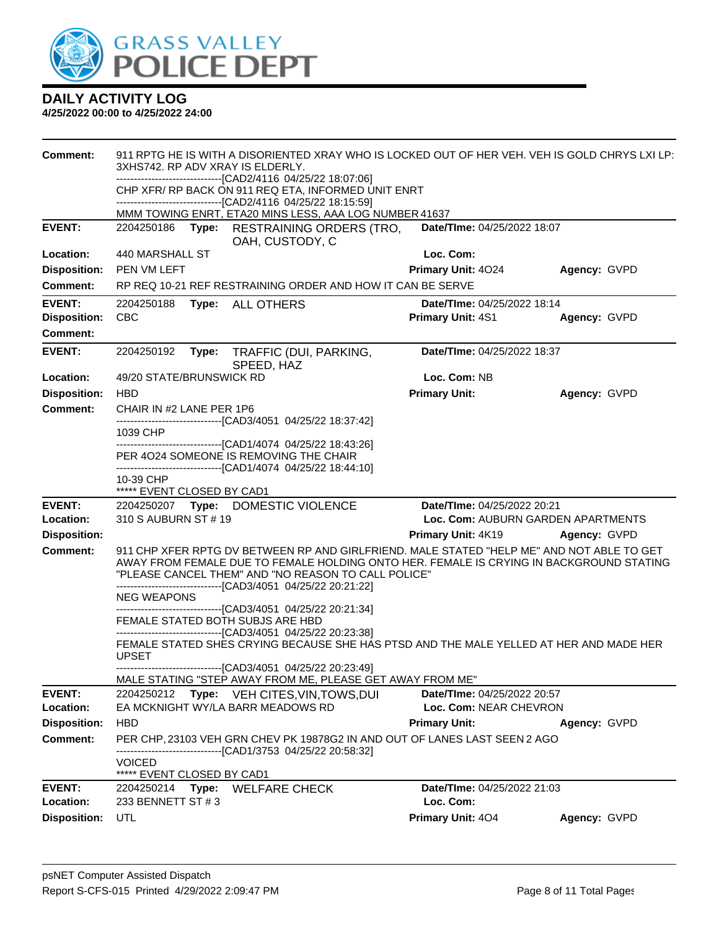

| Comment:                   | 911 RPTG HE IS WITH A DISORIENTED XRAY WHO IS LOCKED OUT OF HER VEH. VEH IS GOLD CHRYS LXI LP:<br>3XHS742. RP ADV XRAY IS ELDERLY.<br>-------------------------------[CAD2/4116 04/25/22 18:07:06]<br>CHP XFR/RP BACK ON 911 REQ ETA, INFORMED UNIT ENRT<br>-------------------------------[CAD2/4116 04/25/22 18:15:59] |  |                                                                                                                                                                                                                                                                                                             |                                          |                                    |  |
|----------------------------|--------------------------------------------------------------------------------------------------------------------------------------------------------------------------------------------------------------------------------------------------------------------------------------------------------------------------|--|-------------------------------------------------------------------------------------------------------------------------------------------------------------------------------------------------------------------------------------------------------------------------------------------------------------|------------------------------------------|------------------------------------|--|
|                            |                                                                                                                                                                                                                                                                                                                          |  | MMM TOWING ENRT, ETA20 MINS LESS, AAA LOG NUMBER 41637                                                                                                                                                                                                                                                      |                                          |                                    |  |
| <b>EVENT:</b>              | 2204250186                                                                                                                                                                                                                                                                                                               |  | Type: RESTRAINING ORDERS (TRO,<br>OAH, CUSTODY, C                                                                                                                                                                                                                                                           | Date/TIme: 04/25/2022 18:07              |                                    |  |
| Location:                  | 440 MARSHALL ST                                                                                                                                                                                                                                                                                                          |  |                                                                                                                                                                                                                                                                                                             | Loc. Com:                                |                                    |  |
| <b>Disposition:</b>        | PEN VM LEFT                                                                                                                                                                                                                                                                                                              |  |                                                                                                                                                                                                                                                                                                             | Primary Unit: 4024                       | Agency: GVPD                       |  |
| <b>Comment:</b>            |                                                                                                                                                                                                                                                                                                                          |  | RP REQ 10-21 REF RESTRAINING ORDER AND HOW IT CAN BE SERVE                                                                                                                                                                                                                                                  |                                          |                                    |  |
| <b>EVENT:</b>              | 2204250188                                                                                                                                                                                                                                                                                                               |  | Type: ALL OTHERS                                                                                                                                                                                                                                                                                            | Date/TIme: 04/25/2022 18:14              |                                    |  |
| <b>Disposition:</b>        | <b>CBC</b>                                                                                                                                                                                                                                                                                                               |  |                                                                                                                                                                                                                                                                                                             | Primary Unit: 4S1                        | Agency: GVPD                       |  |
| <b>Comment:</b>            |                                                                                                                                                                                                                                                                                                                          |  |                                                                                                                                                                                                                                                                                                             |                                          |                                    |  |
| <b>EVENT:</b>              | 2204250192                                                                                                                                                                                                                                                                                                               |  | Type: TRAFFIC (DUI, PARKING,<br>SPEED, HAZ                                                                                                                                                                                                                                                                  | Date/TIme: 04/25/2022 18:37              |                                    |  |
| Location:                  | 49/20 STATE/BRUNSWICK RD                                                                                                                                                                                                                                                                                                 |  |                                                                                                                                                                                                                                                                                                             | Loc. Com: NB                             |                                    |  |
| <b>Disposition:</b>        | <b>HBD</b>                                                                                                                                                                                                                                                                                                               |  |                                                                                                                                                                                                                                                                                                             | <b>Primary Unit:</b>                     | Agency: GVPD                       |  |
| <b>Comment:</b>            | CHAIR IN #2 LANE PER 1P6                                                                                                                                                                                                                                                                                                 |  |                                                                                                                                                                                                                                                                                                             |                                          |                                    |  |
|                            | 1039 CHP                                                                                                                                                                                                                                                                                                                 |  | ------------------------------[CAD3/4051 04/25/22 18:37:42]                                                                                                                                                                                                                                                 |                                          |                                    |  |
|                            | ------------------------------[CAD1/4074 04/25/22 18:43:26]<br>PER 4024 SOMEONE IS REMOVING THE CHAIR                                                                                                                                                                                                                    |  |                                                                                                                                                                                                                                                                                                             |                                          |                                    |  |
|                            |                                                                                                                                                                                                                                                                                                                          |  | ------------------------------[CAD1/4074_04/25/22 18:44:10]                                                                                                                                                                                                                                                 |                                          |                                    |  |
|                            | 10-39 CHP<br>***** EVENT CLOSED BY CAD1                                                                                                                                                                                                                                                                                  |  |                                                                                                                                                                                                                                                                                                             |                                          |                                    |  |
| <b>EVENT:</b>              |                                                                                                                                                                                                                                                                                                                          |  | 2204250207 Type: DOMESTIC VIOLENCE                                                                                                                                                                                                                                                                          | Date/TIme: 04/25/2022 20:21              |                                    |  |
| Location:                  | 310 S AUBURN ST # 19                                                                                                                                                                                                                                                                                                     |  |                                                                                                                                                                                                                                                                                                             |                                          | Loc. Com: AUBURN GARDEN APARTMENTS |  |
| <b>Disposition:</b>        |                                                                                                                                                                                                                                                                                                                          |  |                                                                                                                                                                                                                                                                                                             | <b>Primary Unit: 4K19</b>                | Agency: GVPD                       |  |
| <b>Comment:</b>            |                                                                                                                                                                                                                                                                                                                          |  | 911 CHP XFER RPTG DV BETWEEN RP AND GIRLFRIEND. MALE STATED "HELP ME" AND NOT ABLE TO GET<br>AWAY FROM FEMALE DUE TO FEMALE HOLDING ONTO HER. FEMALE IS CRYING IN BACKGROUND STATING<br>"PLEASE CANCEL THEM" AND "NO REASON TO CALL POLICE"<br>-------------------------------[CAD3/4051 04/25/22 20:21:22] |                                          |                                    |  |
|                            | <b>NEG WEAPONS</b>                                                                                                                                                                                                                                                                                                       |  |                                                                                                                                                                                                                                                                                                             |                                          |                                    |  |
|                            |                                                                                                                                                                                                                                                                                                                          |  | ------------------------------[CAD3/4051_04/25/22 20:21:34]                                                                                                                                                                                                                                                 |                                          |                                    |  |
|                            | FEMALE STATED BOTH SUBJS ARE HBD<br>-------------------------------[CAD3/4051 04/25/22 20:23:38]                                                                                                                                                                                                                         |  |                                                                                                                                                                                                                                                                                                             |                                          |                                    |  |
|                            | FEMALE STATED SHES CRYING BECAUSE SHE HAS PTSD AND THE MALE YELLED AT HER AND MADE HER<br><b>UPSET</b>                                                                                                                                                                                                                   |  |                                                                                                                                                                                                                                                                                                             |                                          |                                    |  |
|                            |                                                                                                                                                                                                                                                                                                                          |  | --------------------------------[CAD3/4051_04/25/22 20:23:49]<br>MALE STATING "STEP AWAY FROM ME, PLEASE GET AWAY FROM ME"                                                                                                                                                                                  |                                          |                                    |  |
| <b>EVENT:</b>              | 2204250212                                                                                                                                                                                                                                                                                                               |  | <b>Type:</b> VEH CITES, VIN, TOWS, DUI                                                                                                                                                                                                                                                                      | Date/TIme: 04/25/2022 20:57              |                                    |  |
| Location:                  |                                                                                                                                                                                                                                                                                                                          |  | EA MCKNIGHT WY/LA BARR MEADOWS RD                                                                                                                                                                                                                                                                           | Loc. Com: NEAR CHEVRON                   |                                    |  |
| <b>Disposition:</b>        | <b>HBD</b>                                                                                                                                                                                                                                                                                                               |  |                                                                                                                                                                                                                                                                                                             | <b>Primary Unit:</b>                     | Agency: GVPD                       |  |
| <b>Comment:</b>            |                                                                                                                                                                                                                                                                                                                          |  | PER CHP, 23103 VEH GRN CHEV PK 19878G2 IN AND OUT OF LANES LAST SEEN 2 AGO                                                                                                                                                                                                                                  |                                          |                                    |  |
|                            | <b>VOICED</b>                                                                                                                                                                                                                                                                                                            |  | --------------------------[CAD1/3753 04/25/22 20:58:32]                                                                                                                                                                                                                                                     |                                          |                                    |  |
|                            | ***** EVENT CLOSED BY CAD1                                                                                                                                                                                                                                                                                               |  |                                                                                                                                                                                                                                                                                                             |                                          |                                    |  |
| <b>EVENT:</b><br>Location: | 233 BENNETT ST # 3                                                                                                                                                                                                                                                                                                       |  | 2204250214 Type: WELFARE CHECK                                                                                                                                                                                                                                                                              | Date/TIme: 04/25/2022 21:03<br>Loc. Com: |                                    |  |
| <b>Disposition:</b>        | UTL                                                                                                                                                                                                                                                                                                                      |  |                                                                                                                                                                                                                                                                                                             | Primary Unit: 404                        | Agency: GVPD                       |  |
|                            |                                                                                                                                                                                                                                                                                                                          |  |                                                                                                                                                                                                                                                                                                             |                                          |                                    |  |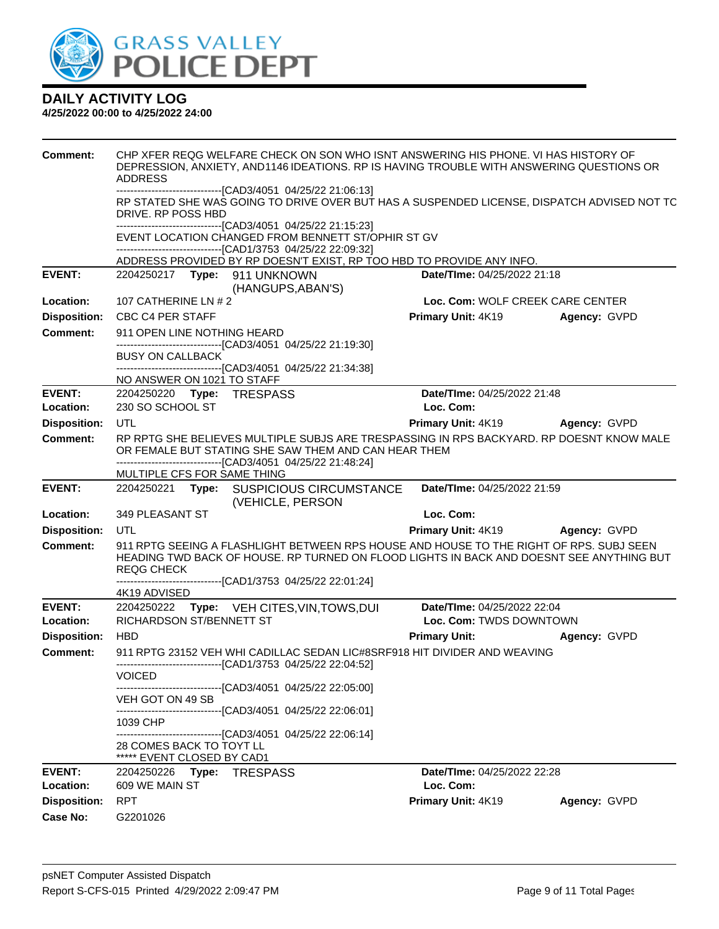

| <b>Comment:</b>            | <b>ADDRESS</b>                                                      | CHP XFER REQG WELFARE CHECK ON SON WHO ISNT ANSWERING HIS PHONE. VI HAS HISTORY OF<br>DEPRESSION, ANXIETY, AND1146 IDEATIONS. RP IS HAVING TROUBLE WITH ANSWERING QUESTIONS OR<br>------------------------------[CAD3/4051 04/25/22 21:06:13] |                                          |                     |
|----------------------------|---------------------------------------------------------------------|-----------------------------------------------------------------------------------------------------------------------------------------------------------------------------------------------------------------------------------------------|------------------------------------------|---------------------|
|                            | DRIVE, RP POSS HBD                                                  | RP STATED SHE WAS GOING TO DRIVE OVER BUT HAS A SUSPENDED LICENSE, DISPATCH ADVISED NOT TC                                                                                                                                                    |                                          |                     |
|                            |                                                                     | -------------------------------[CAD3/4051 04/25/22 21:15:23]<br>EVENT LOCATION CHANGED FROM BENNETT ST/OPHIR ST GV<br>-------------------------------[CAD1/3753_04/25/22_22:09:32]                                                            |                                          |                     |
|                            |                                                                     | ADDRESS PROVIDED BY RP DOESN'T EXIST, RP TOO HBD TO PROVIDE ANY INFO.                                                                                                                                                                         |                                          |                     |
| <b>EVENT:</b>              |                                                                     | (HANGUPS, ABAN'S)                                                                                                                                                                                                                             | Date/Time: 04/25/2022 21:18              |                     |
| Location:                  | 107 CATHERINE LN #2                                                 |                                                                                                                                                                                                                                               | Loc. Com: WOLF CREEK CARE CENTER         |                     |
| <b>Disposition:</b>        | CBC C4 PER STAFF                                                    |                                                                                                                                                                                                                                               | Primary Unit: 4K19 Agency: GVPD          |                     |
| <b>Comment:</b>            | 911 OPEN LINE NOTHING HEARD                                         |                                                                                                                                                                                                                                               |                                          |                     |
|                            | <b>BUSY ON CALLBACK</b>                                             | ------------------------------[CAD3/4051 04/25/22 21:19:30]                                                                                                                                                                                   |                                          |                     |
|                            |                                                                     | -------------------------------[CAD3/4051_04/25/22 21:34:38]                                                                                                                                                                                  |                                          |                     |
| <b>EVENT:</b>              | NO ANSWER ON 1021 TO STAFF<br>2204250220 Type: TRESPASS             |                                                                                                                                                                                                                                               | Date/TIme: 04/25/2022 21:48              |                     |
| Location:                  | 230 SO SCHOOL ST                                                    |                                                                                                                                                                                                                                               | Loc. Com:                                |                     |
| <b>Disposition:</b>        | <b>UTL</b>                                                          |                                                                                                                                                                                                                                               | Primary Unit: 4K19 Agency: GVPD          |                     |
| <b>Comment:</b>            |                                                                     | RP RPTG SHE BELIEVES MULTIPLE SUBJS ARE TRESPASSING IN RPS BACKYARD. RP DOESNT KNOW MALE<br>OR FEMALE BUT STATING SHE SAW THEM AND CAN HEAR THEM                                                                                              |                                          |                     |
|                            |                                                                     | -------------------------------[CAD3/4051_04/25/22 21:48:24]                                                                                                                                                                                  |                                          |                     |
|                            | MULTIPLE CFS FOR SAME THING                                         |                                                                                                                                                                                                                                               |                                          |                     |
| <b>EVENT:</b>              |                                                                     | 2204250221 Type: SUSPICIOUS CIRCUMSTANCE<br>(VEHICLE, PERSON                                                                                                                                                                                  | Date/TIme: 04/25/2022 21:59              |                     |
| Location:                  | 349 PLEASANT ST                                                     |                                                                                                                                                                                                                                               | Loc. Com:                                |                     |
| <b>Disposition:</b>        | <b>UTL</b>                                                          |                                                                                                                                                                                                                                               | <b>Primary Unit: 4K19</b>                | <b>Agency: GVPD</b> |
| Comment:                   | <b>REQG CHECK</b>                                                   | 911 RPTG SEEING A FLASHLIGHT BETWEEN RPS HOUSE AND HOUSE TO THE RIGHT OF RPS. SUBJ SEEN<br>HEADING TWD BACK OF HOUSE. RP TURNED ON FLOOD LIGHTS IN BACK AND DOESNT SEE ANYTHING BUT                                                           |                                          |                     |
|                            |                                                                     | -------------------------------[CAD1/3753_04/25/22_22:01:24]                                                                                                                                                                                  |                                          |                     |
| <b>EVENT:</b>              | 4K19 ADVISED                                                        | 2204250222 Type: VEH CITES, VIN, TOWS, DUI                                                                                                                                                                                                    | Date/TIme: 04/25/2022 22:04              |                     |
| Location:                  | RICHARDSON ST/BENNETT ST                                            |                                                                                                                                                                                                                                               | Loc. Com: TWDS DOWNTOWN                  |                     |
| <b>Disposition:</b>        | <b>HBD</b>                                                          |                                                                                                                                                                                                                                               | <b>Primary Unit:</b>                     | Agency: GVPD        |
| <b>Comment:</b>            |                                                                     | 911 RPTG 23152 VEH WHI CADILLAC SEDAN LIC#8SRF918 HIT DIVIDER AND WEAVING                                                                                                                                                                     |                                          |                     |
|                            |                                                                     |                                                                                                                                                                                                                                               |                                          |                     |
|                            | <b>VOICED</b>                                                       | -------------------------------[CAD1/3753_04/25/22_22:04:52]<br>------------------------------[CAD3/4051 04/25/22 22:05:00]                                                                                                                   |                                          |                     |
|                            | VEH GOT ON 49 SB                                                    |                                                                                                                                                                                                                                               |                                          |                     |
|                            | 1039 CHP                                                            | -------------------------------[CAD3/4051 04/25/22 22:06:01]                                                                                                                                                                                  |                                          |                     |
|                            | 28 COMES BACK TO TOYT LL                                            | ---------------------[CAD3/4051_04/25/22 22:06:14]                                                                                                                                                                                            |                                          |                     |
| <b>EVENT:</b><br>Location: | ***** EVENT CLOSED BY CAD1<br>2204250226<br>Type:<br>609 WE MAIN ST | <b>TRESPASS</b>                                                                                                                                                                                                                               | Date/TIme: 04/25/2022 22:28<br>Loc. Com: |                     |
| <b>Disposition:</b>        | <b>RPT</b>                                                          |                                                                                                                                                                                                                                               | Primary Unit: 4K19                       | Agency: GVPD        |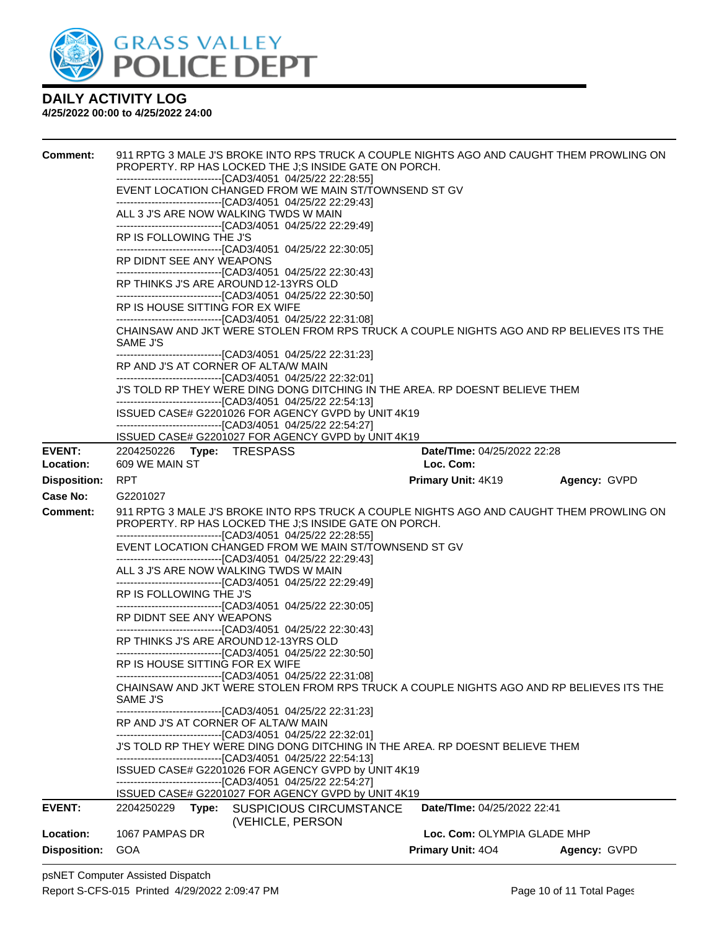

| <b>Comment:</b>     | 911 RPTG 3 MALE J'S BROKE INTO RPS TRUCK A COUPLE NIGHTS AGO AND CAUGHT THEM PROWLING ON<br>PROPERTY. RP HAS LOCKED THE J;S INSIDE GATE ON PORCH. |                                                                                                                                                                                     |                                    |              |  |
|---------------------|---------------------------------------------------------------------------------------------------------------------------------------------------|-------------------------------------------------------------------------------------------------------------------------------------------------------------------------------------|------------------------------------|--------------|--|
|                     |                                                                                                                                                   | -------------------------------[CAD3/4051 04/25/22 22:28:55]                                                                                                                        |                                    |              |  |
|                     |                                                                                                                                                   | EVENT LOCATION CHANGED FROM WE MAIN ST/TOWNSEND ST GV<br>-------------------------------[CAD3/4051 04/25/22 22:29:43]                                                               |                                    |              |  |
|                     |                                                                                                                                                   | ALL 3 J'S ARE NOW WALKING TWDS W MAIN<br>--------------------------------[CAD3/4051_04/25/22 22:29:49]                                                                              |                                    |              |  |
|                     | RP IS FOLLOWING THE J'S                                                                                                                           | ----------------------------------[CAD3/4051 04/25/22 22:30:05]                                                                                                                     |                                    |              |  |
|                     | RP DIDNT SEE ANY WEAPONS                                                                                                                          | --------------------------------[CAD3/4051 04/25/22 22:30:43]                                                                                                                       |                                    |              |  |
|                     |                                                                                                                                                   | RP THINKS J'S ARE AROUND 12-13YRS OLD                                                                                                                                               |                                    |              |  |
|                     | RP IS HOUSE SITTING FOR EX WIFE                                                                                                                   | ---------------------------------[CAD3/4051 04/25/22 22:30:50]                                                                                                                      |                                    |              |  |
|                     | SAME J'S                                                                                                                                          | ----------------------------------[CAD3/4051 04/25/22 22:31:08]<br>CHAINSAW AND JKT WERE STOLEN FROM RPS TRUCK A COUPLE NIGHTS AGO AND RP BELIEVES ITS THE                          |                                    |              |  |
|                     |                                                                                                                                                   | --------------------------------[CAD3/4051 04/25/22 22:31:23]<br>RP AND J'S AT CORNER OF ALTA/W MAIN                                                                                |                                    |              |  |
|                     |                                                                                                                                                   | ----------------------------------[CAD3/4051 04/25/22 22:32:01]<br>J'S TOLD RP THEY WERE DING DONG DITCHING IN THE AREA. RP DOESNT BELIEVE THEM                                     |                                    |              |  |
|                     |                                                                                                                                                   | --------------------------------[CAD3/4051 04/25/22 22:54:13]<br>ISSUED CASE# G2201026 FOR AGENCY GVPD by UNIT 4K19<br>-------------------------------[CAD3/4051 04/25/22 22:54:27] |                                    |              |  |
|                     |                                                                                                                                                   | ISSUED CASE# G2201027 FOR AGENCY GVPD by UNIT 4K19                                                                                                                                  |                                    |              |  |
| <b>EVENT:</b>       | 2204250226 Type: TRESPASS                                                                                                                         |                                                                                                                                                                                     | <b>Date/Time: 04/25/2022 22:28</b> |              |  |
| Location:           | 609 WE MAIN ST                                                                                                                                    |                                                                                                                                                                                     | Loc. Com:                          |              |  |
| <b>Disposition:</b> | <b>RPT</b>                                                                                                                                        |                                                                                                                                                                                     | <b>Primary Unit: 4K19</b>          | Agency: GVPD |  |
| Case No:            | G2201027                                                                                                                                          |                                                                                                                                                                                     |                                    |              |  |
|                     |                                                                                                                                                   |                                                                                                                                                                                     |                                    |              |  |
| Comment:            |                                                                                                                                                   | 911 RPTG 3 MALE J'S BROKE INTO RPS TRUCK A COUPLE NIGHTS AGO AND CAUGHT THEM PROWLING ON<br>PROPERTY. RP HAS LOCKED THE J;S INSIDE GATE ON PORCH.                                   |                                    |              |  |
|                     |                                                                                                                                                   | ------------------------------[CAD3/4051 04/25/22 22:28:55]<br>EVENT LOCATION CHANGED FROM WE MAIN ST/TOWNSEND ST GV                                                                |                                    |              |  |
|                     |                                                                                                                                                   | ----------------------------------[CAD3/4051 04/25/22 22:29:43]<br>ALL 3 J'S ARE NOW WALKING TWDS W MAIN                                                                            |                                    |              |  |
|                     | RP IS FOLLOWING THE J'S                                                                                                                           | -------------------------------[CAD3/4051 04/25/22 22:29:49]                                                                                                                        |                                    |              |  |
|                     | RP DIDNT SEE ANY WEAPONS                                                                                                                          | ---------------------------------[CAD3/4051_04/25/22 22:30:05]                                                                                                                      |                                    |              |  |
|                     |                                                                                                                                                   | -----------------------------------[CAD3/4051 04/25/22 22:30:43]<br>RP THINKS J'S ARE AROUND 12-13YRS OLD                                                                           |                                    |              |  |
|                     | RP IS HOUSE SITTING FOR EX WIFE                                                                                                                   | -------------------------------[CAD3/4051 04/25/22 22:30:50]                                                                                                                        |                                    |              |  |
|                     | SAME J'S                                                                                                                                          | ----------------------------[CAD3/4051_04/25/22 22:31:08]<br>CHAINSAW AND JKT WERE STOLEN FROM RPS TRUCK A COUPLE NIGHTS AGO AND RP BELIEVES ITS THE                                |                                    |              |  |
|                     |                                                                                                                                                   | -------------------------------[CAD3/4051_04/25/22 22:31:23]<br>RP AND J'S AT CORNER OF ALTA/W MAIN                                                                                 |                                    |              |  |
|                     |                                                                                                                                                   | --------------------------------[CAD3/4051 04/25/22 22:32:01]<br>J'S TOLD RP THEY WERE DING DONG DITCHING IN THE AREA. RP DOESNT BELIEVE THEM                                       |                                    |              |  |
|                     |                                                                                                                                                   | -------------------------------[CAD3/4051 04/25/22 22:54:13]<br>ISSUED CASE# G2201026 FOR AGENCY GVPD by UNIT 4K19                                                                  |                                    |              |  |
|                     |                                                                                                                                                   | -------------------------------[CAD3/4051 04/25/22 22:54:27]                                                                                                                        |                                    |              |  |
| <b>EVENT:</b>       |                                                                                                                                                   | ISSUED CASE# G2201027 FOR AGENCY GVPD by UNIT 4K19<br><b>SUSPICIOUS CIRCUMSTANCE</b>                                                                                                | Date/TIme: 04/25/2022 22:41        |              |  |
| Location:           | 1067 PAMPAS DR                                                                                                                                    | (VEHICLE, PERSON                                                                                                                                                                    | Loc. Com: OLYMPIA GLADE MHP        |              |  |